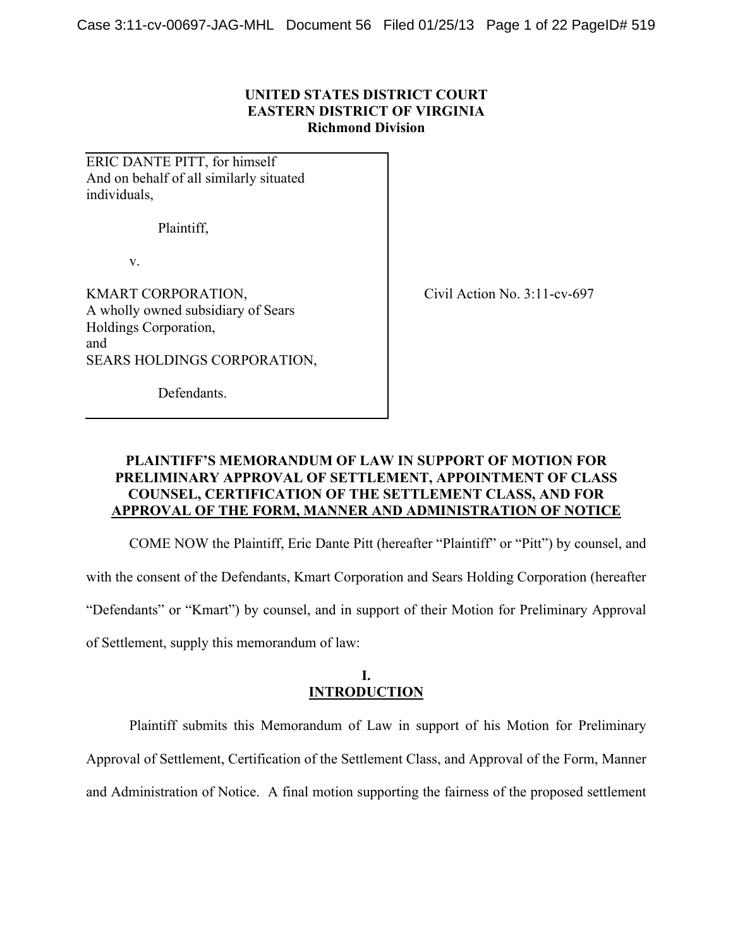# **UNITED STATES DISTRICT COURT EASTERN DISTRICT OF VIRGINIA Richmond Division**

ERIC DANTE PITT, for himself And on behalf of all similarly situated individuals,

Plaintiff,

v.

KMART CORPORATION, A wholly owned subsidiary of Sears Holdings Corporation, and SEARS HOLDINGS CORPORATION, Civil Action No. 3:11-cv-697

Defendants.

# **PLAINTIFF'S MEMORANDUM OF LAW IN SUPPORT OF MOTION FOR PRELIMINARY APPROVAL OF SETTLEMENT, APPOINTMENT OF CLASS COUNSEL, CERTIFICATION OF THE SETTLEMENT CLASS, AND FOR APPROVAL OF THE FORM, MANNER AND ADMINISTRATION OF NOTICE**

COME NOW the Plaintiff, Eric Dante Pitt (hereafter "Plaintiff" or "Pitt") by counsel, and with the consent of the Defendants, Kmart Corporation and Sears Holding Corporation (hereafter "Defendants" or "Kmart") by counsel, and in support of their Motion for Preliminary Approval of Settlement, supply this memorandum of law:

# **I. INTRODUCTION**

Plaintiff submits this Memorandum of Law in support of his Motion for Preliminary Approval of Settlement, Certification of the Settlement Class, and Approval of the Form, Manner and Administration of Notice. A final motion supporting the fairness of the proposed settlement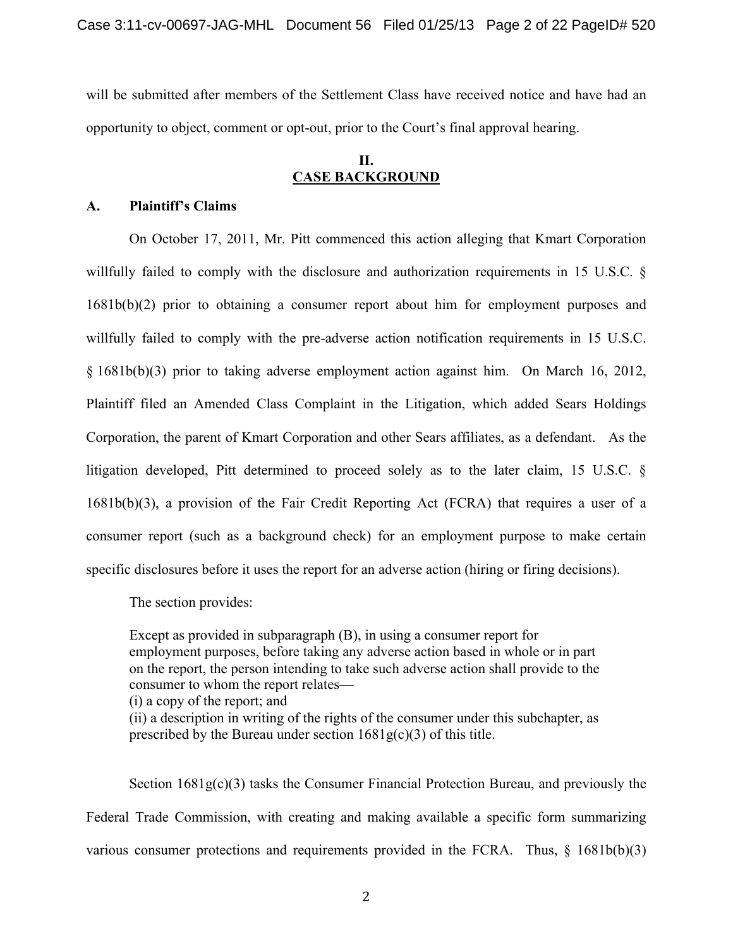will be submitted after members of the Settlement Class have received notice and have had an opportunity to object, comment or opt-out, prior to the Court's final approval hearing.

# **II. CASE BACKGROUND**

# **A. Plaintiff's Claims**

On October 17, 2011, Mr. Pitt commenced this action alleging that Kmart Corporation willfully failed to comply with the disclosure and authorization requirements in 15 U.S.C. § 1681b(b)(2) prior to obtaining a consumer report about him for employment purposes and willfully failed to comply with the pre-adverse action notification requirements in 15 U.S.C. § 1681b(b)(3) prior to taking adverse employment action against him. On March 16, 2012, Plaintiff filed an Amended Class Complaint in the Litigation, which added Sears Holdings Corporation, the parent of Kmart Corporation and other Sears affiliates, as a defendant. As the litigation developed, Pitt determined to proceed solely as to the later claim, 15 U.S.C. § 1681b(b)(3), a provision of the Fair Credit Reporting Act (FCRA) that requires a user of a consumer report (such as a background check) for an employment purpose to make certain specific disclosures before it uses the report for an adverse action (hiring or firing decisions).

The section provides:

Except as provided in subparagraph (B), in using a consumer report for employment purposes, before taking any adverse action based in whole or in part on the report, the person intending to take such adverse action shall provide to the consumer to whom the report relates—

(i) a copy of the report; and

(ii) a description in writing of the rights of the consumer under this subchapter, as prescribed by the Bureau under section  $1681g(c)(3)$  of this title.

Section  $1681g(c)(3)$  tasks the Consumer Financial Protection Bureau, and previously the Federal Trade Commission, with creating and making available a specific form summarizing various consumer protections and requirements provided in the FCRA. Thus,  $\S$  1681b(b)(3)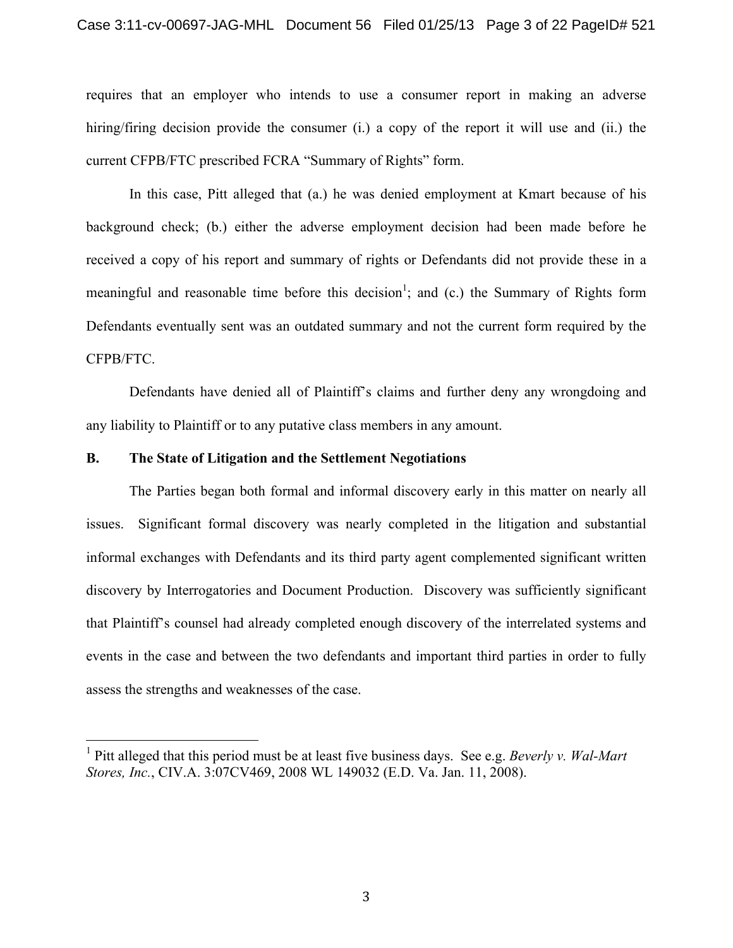requires that an employer who intends to use a consumer report in making an adverse hiring/firing decision provide the consumer (i.) a copy of the report it will use and (ii.) the current CFPB/FTC prescribed FCRA "Summary of Rights" form.

In this case, Pitt alleged that (a.) he was denied employment at Kmart because of his background check; (b.) either the adverse employment decision had been made before he received a copy of his report and summary of rights or Defendants did not provide these in a meaningful and reasonable time before this decision<sup>1</sup>; and (c.) the Summary of Rights form Defendants eventually sent was an outdated summary and not the current form required by the CFPB/FTC.

Defendants have denied all of Plaintiff's claims and further deny any wrongdoing and any liability to Plaintiff or to any putative class members in any amount.

#### **B. The State of Litigation and the Settlement Negotiations**

The Parties began both formal and informal discovery early in this matter on nearly all issues. Significant formal discovery was nearly completed in the litigation and substantial informal exchanges with Defendants and its third party agent complemented significant written discovery by Interrogatories and Document Production. Discovery was sufficiently significant that Plaintiff's counsel had already completed enough discovery of the interrelated systems and events in the case and between the two defendants and important third parties in order to fully assess the strengths and weaknesses of the case.

 <sup>1</sup> Pitt alleged that this period must be at least five business days. See e.g. *Beverly v. Wal-Mart Stores, Inc.*, CIV.A. 3:07CV469, 2008 WL 149032 (E.D. Va. Jan. 11, 2008).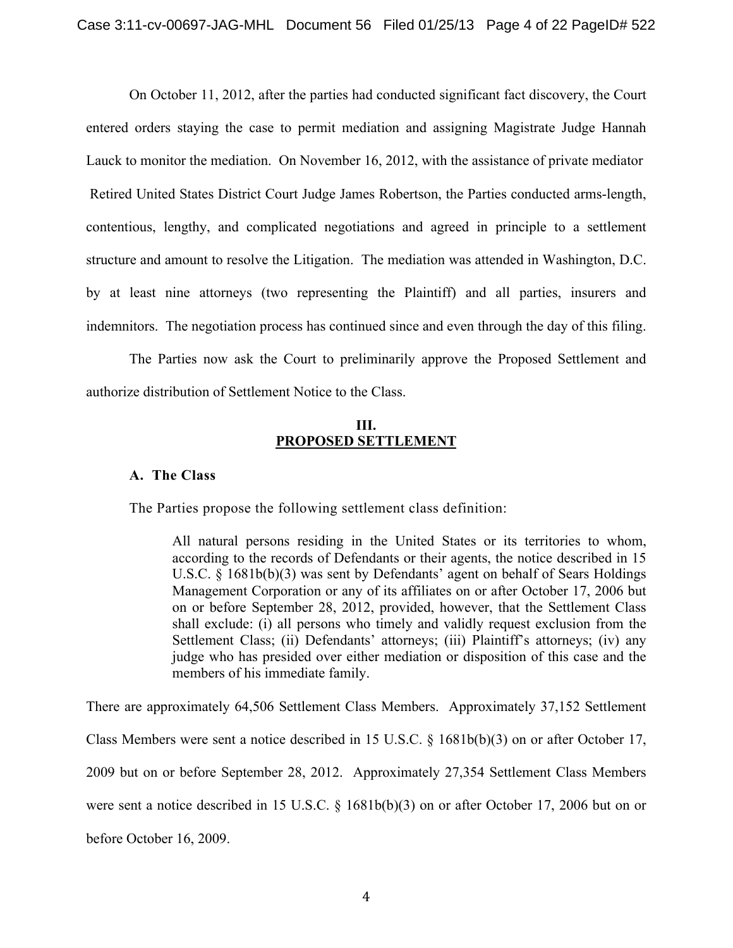On October 11, 2012, after the parties had conducted significant fact discovery, the Court entered orders staying the case to permit mediation and assigning Magistrate Judge Hannah Lauck to monitor the mediation. On November 16, 2012, with the assistance of private mediator Retired United States District Court Judge James Robertson, the Parties conducted arms-length, contentious, lengthy, and complicated negotiations and agreed in principle to a settlement structure and amount to resolve the Litigation. The mediation was attended in Washington, D.C. by at least nine attorneys (two representing the Plaintiff) and all parties, insurers and indemnitors. The negotiation process has continued since and even through the day of this filing.

The Parties now ask the Court to preliminarily approve the Proposed Settlement and authorize distribution of Settlement Notice to the Class.

# **III. PROPOSED SETTLEMENT**

# **A. The Class**

The Parties propose the following settlement class definition:

All natural persons residing in the United States or its territories to whom, according to the records of Defendants or their agents, the notice described in 15 U.S.C. § 1681b(b)(3) was sent by Defendants' agent on behalf of Sears Holdings Management Corporation or any of its affiliates on or after October 17, 2006 but on or before September 28, 2012, provided, however, that the Settlement Class shall exclude: (i) all persons who timely and validly request exclusion from the Settlement Class; (ii) Defendants' attorneys; (iii) Plaintiff's attorneys; (iv) any judge who has presided over either mediation or disposition of this case and the members of his immediate family.

There are approximately 64,506 Settlement Class Members. Approximately 37,152 Settlement Class Members were sent a notice described in 15 U.S.C. § 1681b(b)(3) on or after October 17, 2009 but on or before September 28, 2012. Approximately 27,354 Settlement Class Members were sent a notice described in 15 U.S.C. § 1681b(b)(3) on or after October 17, 2006 but on or

before October 16, 2009.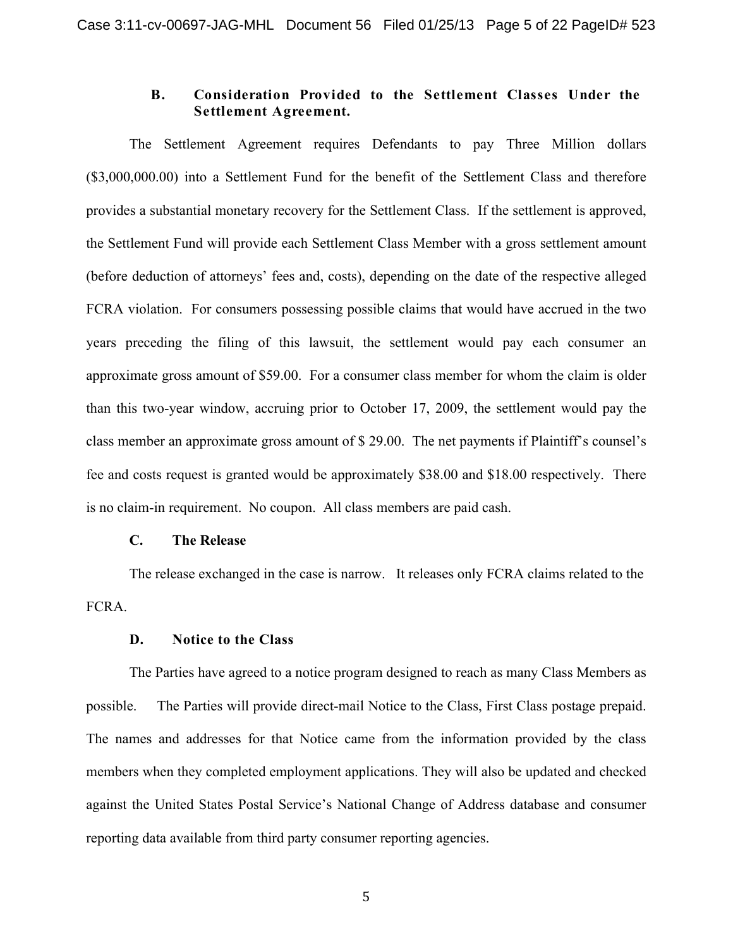# **B. Consideration Provided to the Settlement Classes Under the Settlement Agreement.**

The Settlement Agreement requires Defendants to pay Three Million dollars (\$3,000,000.00) into a Settlement Fund for the benefit of the Settlement Class and therefore provides a substantial monetary recovery for the Settlement Class. If the settlement is approved, the Settlement Fund will provide each Settlement Class Member with a gross settlement amount (before deduction of attorneys' fees and, costs), depending on the date of the respective alleged FCRA violation. For consumers possessing possible claims that would have accrued in the two years preceding the filing of this lawsuit, the settlement would pay each consumer an approximate gross amount of \$59.00. For a consumer class member for whom the claim is older than this two-year window, accruing prior to October 17, 2009, the settlement would pay the class member an approximate gross amount of \$ 29.00. The net payments if Plaintiff's counsel's fee and costs request is granted would be approximately \$38.00 and \$18.00 respectively. There is no claim-in requirement. No coupon. All class members are paid cash.

## **C. The Release**

The release exchanged in the case is narrow. It releases only FCRA claims related to the FCRA.

# **D. Notice to the Class**

The Parties have agreed to a notice program designed to reach as many Class Members as possible. The Parties will provide direct-mail Notice to the Class, First Class postage prepaid. The names and addresses for that Notice came from the information provided by the class members when they completed employment applications. They will also be updated and checked against the United States Postal Service's National Change of Address database and consumer reporting data available from third party consumer reporting agencies.

5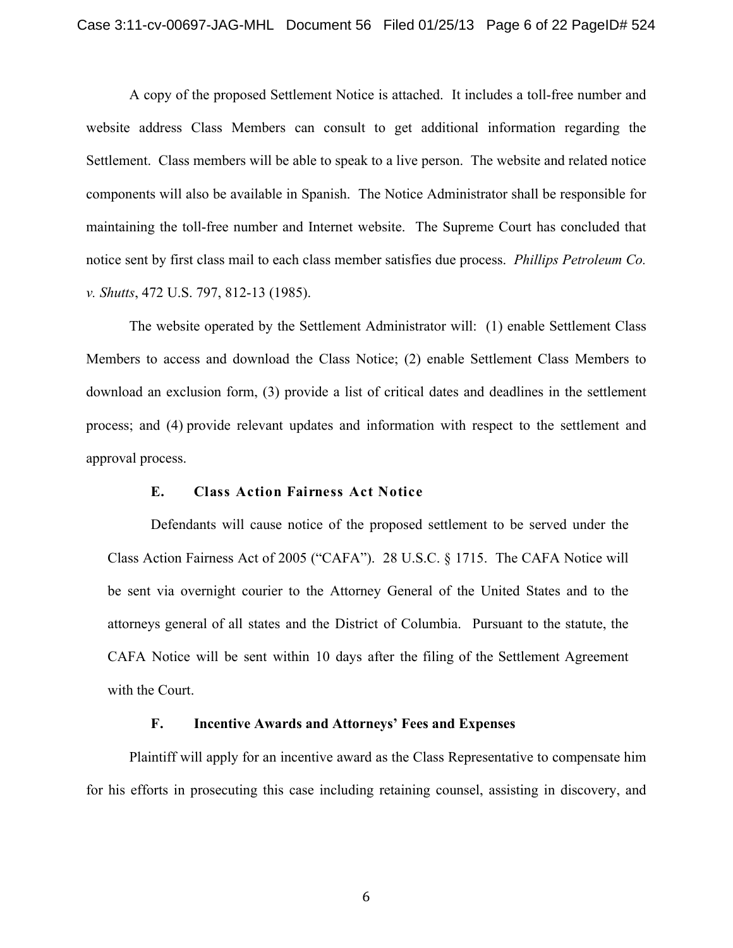A copy of the proposed Settlement Notice is attached. It includes a toll-free number and website address Class Members can consult to get additional information regarding the Settlement. Class members will be able to speak to a live person. The website and related notice components will also be available in Spanish. The Notice Administrator shall be responsible for maintaining the toll-free number and Internet website. The Supreme Court has concluded that notice sent by first class mail to each class member satisfies due process. *Phillips Petroleum Co. v. Shutts*, 472 U.S. 797, 812-13 (1985).

The website operated by the Settlement Administrator will: (1) enable Settlement Class Members to access and download the Class Notice; (2) enable Settlement Class Members to download an exclusion form, (3) provide a list of critical dates and deadlines in the settlement process; and (4) provide relevant updates and information with respect to the settlement and approval process.

### **E. Class Action Fairness Act Notice**

Defendants will cause notice of the proposed settlement to be served under the Class Action Fairness Act of 2005 ("CAFA"). 28 U.S.C. § 1715. The CAFA Notice will be sent via overnight courier to the Attorney General of the United States and to the attorneys general of all states and the District of Columbia. Pursuant to the statute, the CAFA Notice will be sent within 10 days after the filing of the Settlement Agreement with the Court.

### **F. Incentive Awards and Attorneys' Fees and Expenses**

Plaintiff will apply for an incentive award as the Class Representative to compensate him for his efforts in prosecuting this case including retaining counsel, assisting in discovery, and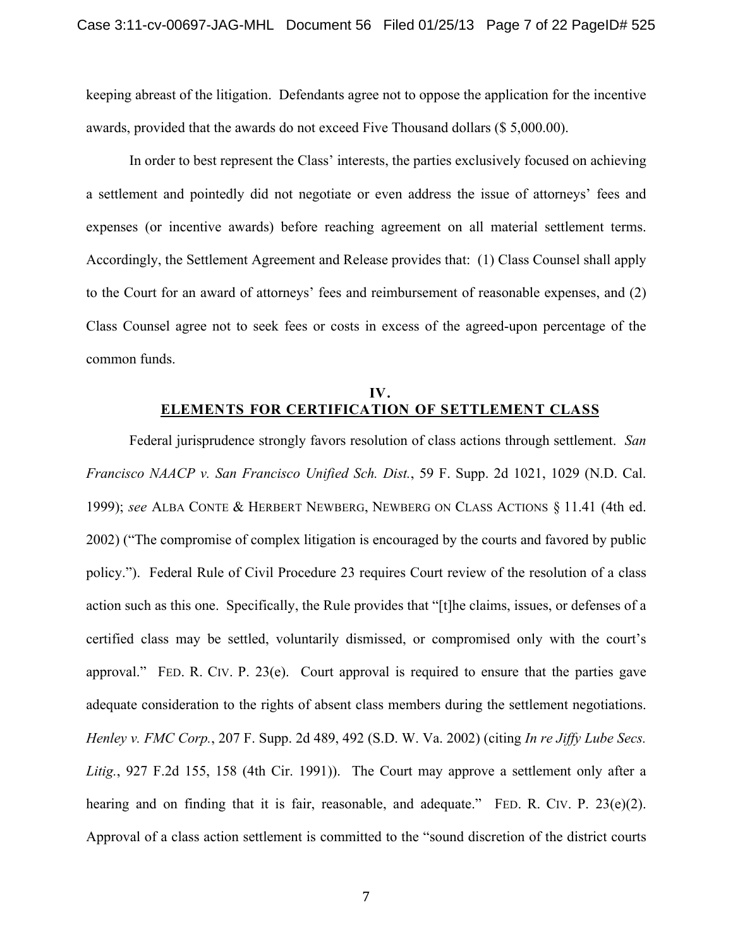keeping abreast of the litigation. Defendants agree not to oppose the application for the incentive awards, provided that the awards do not exceed Five Thousand dollars (\$ 5,000.00).

In order to best represent the Class' interests, the parties exclusively focused on achieving a settlement and pointedly did not negotiate or even address the issue of attorneys' fees and expenses (or incentive awards) before reaching agreement on all material settlement terms. Accordingly, the Settlement Agreement and Release provides that: (1) Class Counsel shall apply to the Court for an award of attorneys' fees and reimbursement of reasonable expenses, and (2) Class Counsel agree not to seek fees or costs in excess of the agreed-upon percentage of the common funds.

# **IV. ELEMENTS FOR CERTIFICATION OF SETTLEMENT CLASS**

Federal jurisprudence strongly favors resolution of class actions through settlement. *San Francisco NAACP v. San Francisco Unified Sch. Dist.*, 59 F. Supp. 2d 1021, 1029 (N.D. Cal. 1999); *see* ALBA CONTE & HERBERT NEWBERG, NEWBERG ON CLASS ACTIONS § 11.41 (4th ed. 2002) ("The compromise of complex litigation is encouraged by the courts and favored by public policy."). Federal Rule of Civil Procedure 23 requires Court review of the resolution of a class action such as this one. Specifically, the Rule provides that "[t]he claims, issues, or defenses of a certified class may be settled, voluntarily dismissed, or compromised only with the court's approval." FED. R. CIV. P. 23(e). Court approval is required to ensure that the parties gave adequate consideration to the rights of absent class members during the settlement negotiations. *Henley v. FMC Corp.*, 207 F. Supp. 2d 489, 492 (S.D. W. Va. 2002) (citing *In re Jiffy Lube Secs. Litig.*, 927 F.2d 155, 158 (4th Cir. 1991)). The Court may approve a settlement only after a hearing and on finding that it is fair, reasonable, and adequate." FED. R. CIV. P. 23(e)(2). Approval of a class action settlement is committed to the "sound discretion of the district courts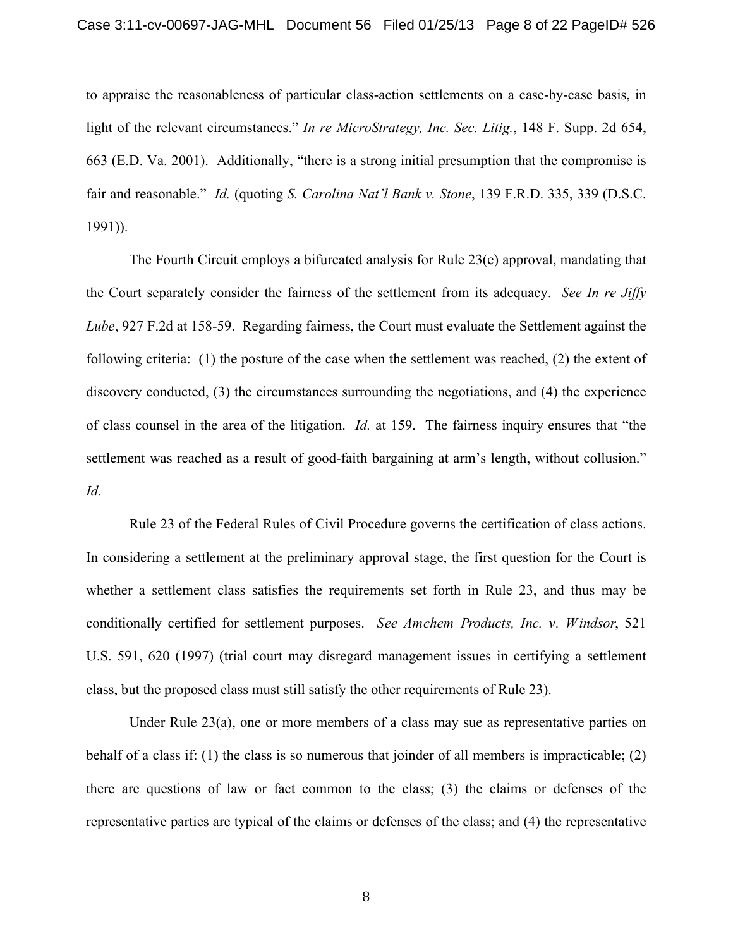to appraise the reasonableness of particular class-action settlements on a case-by-case basis, in light of the relevant circumstances." *In re MicroStrategy, Inc. Sec. Litig.*, 148 F. Supp. 2d 654, 663 (E.D. Va. 2001). Additionally, "there is a strong initial presumption that the compromise is fair and reasonable." *Id.* (quoting *S. Carolina Nat'l Bank v. Stone*, 139 F.R.D. 335, 339 (D.S.C. 1991)).

The Fourth Circuit employs a bifurcated analysis for Rule 23(e) approval, mandating that the Court separately consider the fairness of the settlement from its adequacy. *See In re Jiffy Lube*, 927 F.2d at 158-59. Regarding fairness, the Court must evaluate the Settlement against the following criteria: (1) the posture of the case when the settlement was reached, (2) the extent of discovery conducted, (3) the circumstances surrounding the negotiations, and (4) the experience of class counsel in the area of the litigation. *Id.* at 159. The fairness inquiry ensures that "the settlement was reached as a result of good-faith bargaining at arm's length, without collusion." *Id.*

Rule 23 of the Federal Rules of Civil Procedure governs the certification of class actions. In considering a settlement at the preliminary approval stage, the first question for the Court is whether a settlement class satisfies the requirements set forth in Rule 23, and thus may be conditionally certified for settlement purposes. *See Amchem Products, Inc. v. Windsor*, 521 U.S. 591, 620 (1997) (trial court may disregard management issues in certifying a settlement class, but the proposed class must still satisfy the other requirements of Rule 23).

Under Rule 23(a), one or more members of a class may sue as representative parties on behalf of a class if: (1) the class is so numerous that joinder of all members is impracticable; (2) there are questions of law or fact common to the class; (3) the claims or defenses of the representative parties are typical of the claims or defenses of the class; and (4) the representative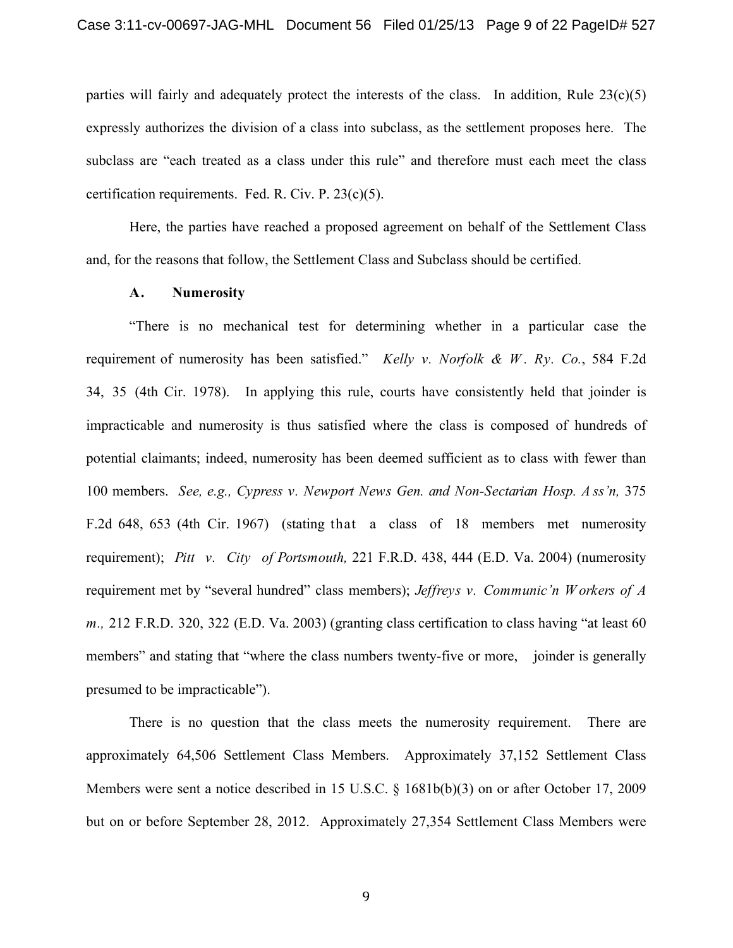parties will fairly and adequately protect the interests of the class. In addition, Rule  $23(c)(5)$ expressly authorizes the division of a class into subclass, as the settlement proposes here. The subclass are "each treated as a class under this rule" and therefore must each meet the class certification requirements. Fed. R. Civ. P. 23(c)(5).

Here, the parties have reached a proposed agreement on behalf of the Settlement Class and, for the reasons that follow, the Settlement Class and Subclass should be certified.

## **A. Numerosity**

"There is no mechanical test for determining whether in a particular case the requirement of numerosity has been satisfied." *Kelly v. Norfolk & W . Ry. Co.*, 584 F.2d 34, 35 (4th Cir. 1978). In applying this rule, courts have consistently held that joinder is impracticable and numerosity is thus satisfied where the class is composed of hundreds of potential claimants; indeed, numerosity has been deemed sufficient as to class with fewer than 100 members. *See, e.g., Cypress v. Newport News Gen. and Non-Sectarian Hosp. A ss'n,* 375 F.2d 648, 653 (4th Cir. 1967) (stating that a class of 18 members met numerosity requirement); *Pitt v. City of Portsmouth,* 221 F.R.D. 438, 444 (E.D. Va. 2004) (numerosity requirement met by "several hundred" class members); *Jeffreys v. Communic'n W orkers of A m.,* 212 F.R.D. 320, 322 (E.D. Va. 2003) (granting class certification to class having "at least 60 members" and stating that "where the class numbers twenty-five or more, joinder is generally presumed to be impracticable").

There is no question that the class meets the numerosity requirement. There are approximately 64,506 Settlement Class Members. Approximately 37,152 Settlement Class Members were sent a notice described in 15 U.S.C. § 1681b(b)(3) on or after October 17, 2009 but on or before September 28, 2012. Approximately 27,354 Settlement Class Members were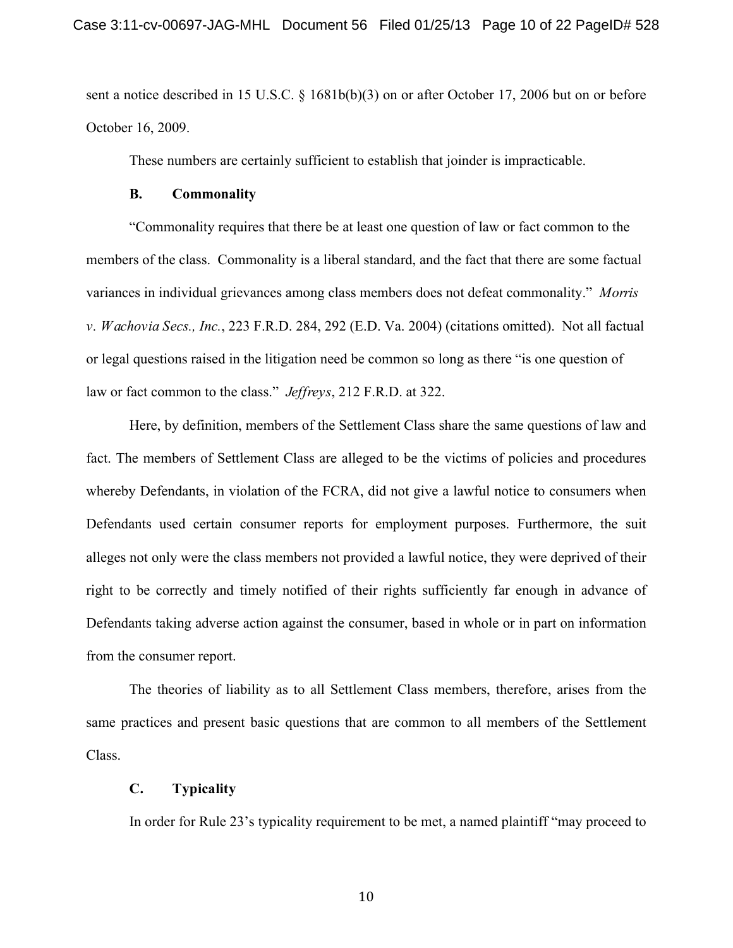sent a notice described in 15 U.S.C. § 1681b(b)(3) on or after October 17, 2006 but on or before October 16, 2009.

These numbers are certainly sufficient to establish that joinder is impracticable.

#### **B. Commonality**

"Commonality requires that there be at least one question of law or fact common to the members of the class. Commonality is a liberal standard, and the fact that there are some factual variances in individual grievances among class members does not defeat commonality." *Morris v. Wachovia Secs., Inc.*, 223 F.R.D. 284, 292 (E.D. Va. 2004) (citations omitted). Not all factual or legal questions raised in the litigation need be common so long as there "is one question of law or fact common to the class." *Jeffreys*, 212 F.R.D. at 322.

Here, by definition, members of the Settlement Class share the same questions of law and fact. The members of Settlement Class are alleged to be the victims of policies and procedures whereby Defendants, in violation of the FCRA, did not give a lawful notice to consumers when Defendants used certain consumer reports for employment purposes. Furthermore, the suit alleges not only were the class members not provided a lawful notice, they were deprived of their right to be correctly and timely notified of their rights sufficiently far enough in advance of Defendants taking adverse action against the consumer, based in whole or in part on information from the consumer report.

The theories of liability as to all Settlement Class members, therefore, arises from the same practices and present basic questions that are common to all members of the Settlement Class.

## **C. Typicality**

In order for Rule 23's typicality requirement to be met, a named plaintiff "may proceed to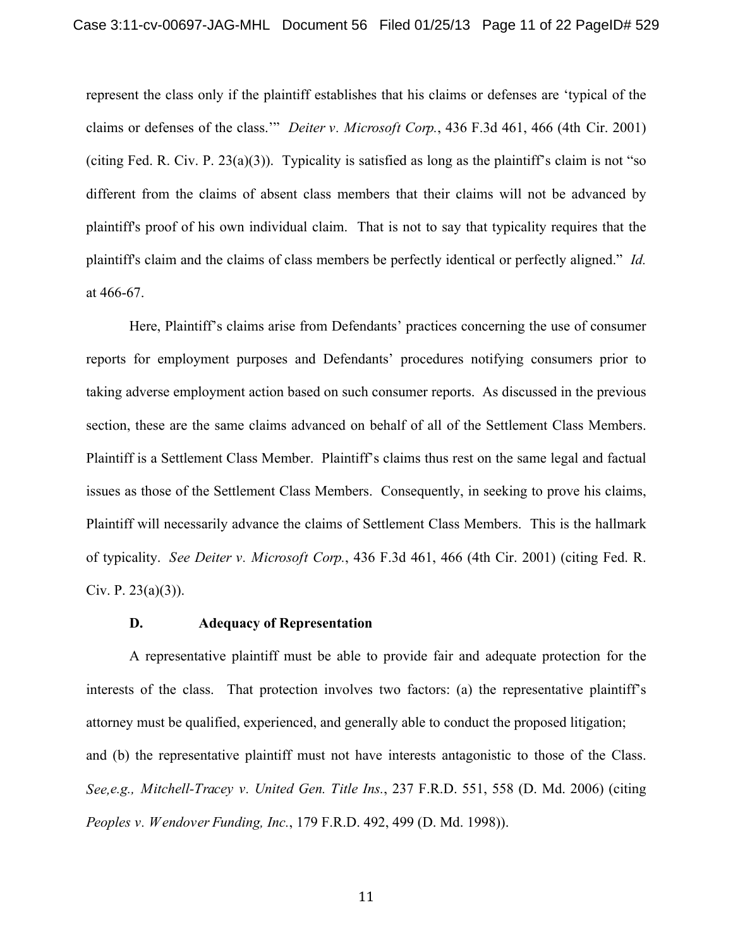represent the class only if the plaintiff establishes that his claims or defenses are 'typical of the claims or defenses of the class.'" *Deiter v. Microsoft Corp.*, 436 F.3d 461, 466 (4th Cir. 2001) (citing Fed. R. Civ. P. 23(a)(3)). Typicality is satisfied as long as the plaintiff's claim is not "so different from the claims of absent class members that their claims will not be advanced by plaintiff's proof of his own individual claim. That is not to say that typicality requires that the plaintiff's claim and the claims of class members be perfectly identical or perfectly aligned." *Id.*  at 466-67.

Here, Plaintiff's claims arise from Defendants' practices concerning the use of consumer reports for employment purposes and Defendants' procedures notifying consumers prior to taking adverse employment action based on such consumer reports. As discussed in the previous section, these are the same claims advanced on behalf of all of the Settlement Class Members. Plaintiff is a Settlement Class Member. Plaintiff's claims thus rest on the same legal and factual issues as those of the Settlement Class Members. Consequently, in seeking to prove his claims, Plaintiff will necessarily advance the claims of Settlement Class Members. This is the hallmark of typicality. *See Deiter v. Microsoft Corp.*, 436 F.3d 461, 466 (4th Cir. 2001) (citing Fed. R. Civ. P.  $23(a)(3)$ ).

#### **D. Adequacy of Representation**

A representative plaintiff must be able to provide fair and adequate protection for the interests of the class. That protection involves two factors: (a) the representative plaintiff's attorney must be qualified, experienced, and generally able to conduct the proposed litigation; and (b) the representative plaintiff must not have interests antagonistic to those of the Class. *See,e.g., Mitchell-Tracey v. United Gen. Title Ins.*, 237 F.R.D. 551, 558 (D. Md. 2006) (citing *Peoples v. Wendover Funding, Inc.*, 179 F.R.D. 492, 499 (D. Md. 1998)).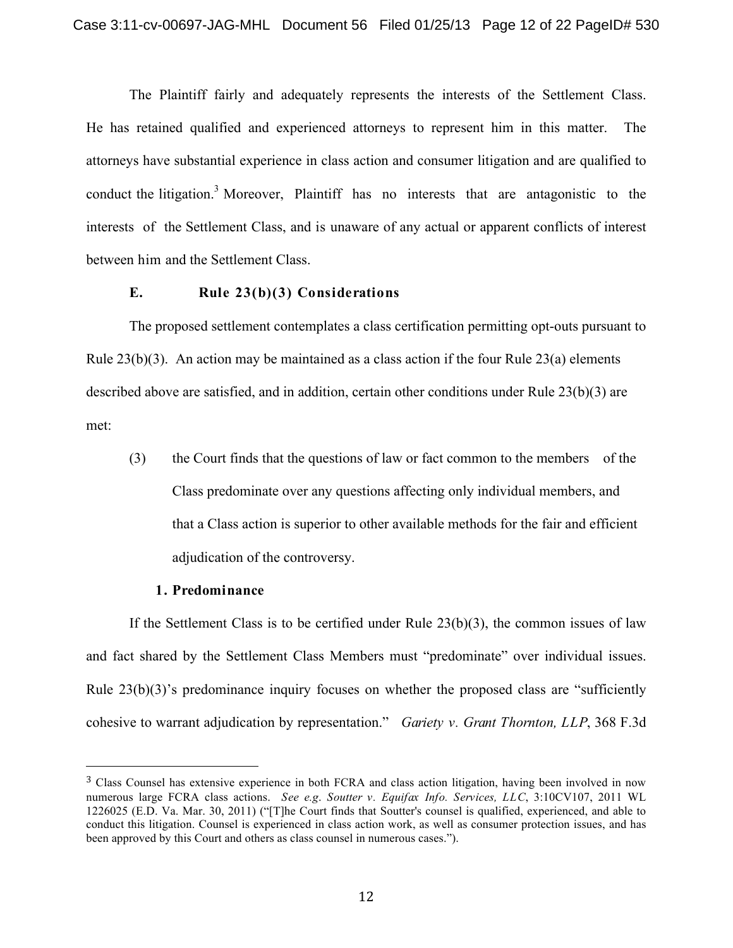The Plaintiff fairly and adequately represents the interests of the Settlement Class. He has retained qualified and experienced attorneys to represent him in this matter. The attorneys have substantial experience in class action and consumer litigation and are qualified to conduct the litigation. <sup>3</sup> Moreover, Plaintiff has no interests that are antagonistic to the interests of the Settlement Class, and is unaware of any actual or apparent conflicts of interest between him and the Settlement Class.

### **E. Rule 23(b)(3) Considerations**

The proposed settlement contemplates a class certification permitting opt-outs pursuant to Rule  $23(b)(3)$ . An action may be maintained as a class action if the four Rule  $23(a)$  elements described above are satisfied, and in addition, certain other conditions under Rule 23(b)(3) are met:

(3) the Court finds that the questions of law or fact common to the members of the Class predominate over any questions affecting only individual members, and that a Class action is superior to other available methods for the fair and efficient adjudication of the controversy.

#### **1. Predominance**

If the Settlement Class is to be certified under Rule  $23(b)(3)$ , the common issues of law and fact shared by the Settlement Class Members must "predominate" over individual issues. Rule  $23(b)(3)$ 's predominance inquiry focuses on whether the proposed class are "sufficiently" cohesive to warrant adjudication by representation." *Gariety v. Grant Thornton, LLP*, 368 F.3d

<sup>3</sup> Class Counsel has extensive experience in both FCRA and class action litigation, having been involved in now numerous large FCRA class actions. *See e.g*. *Soutter v. Equifax Info. Services, LLC*, 3:10CV107, 2011 WL 1226025 (E.D. Va. Mar. 30, 2011) ("[T]he Court finds that Soutter's counsel is qualified, experienced, and able to conduct this litigation. Counsel is experienced in class action work, as well as consumer protection issues, and has been approved by this Court and others as class counsel in numerous cases.").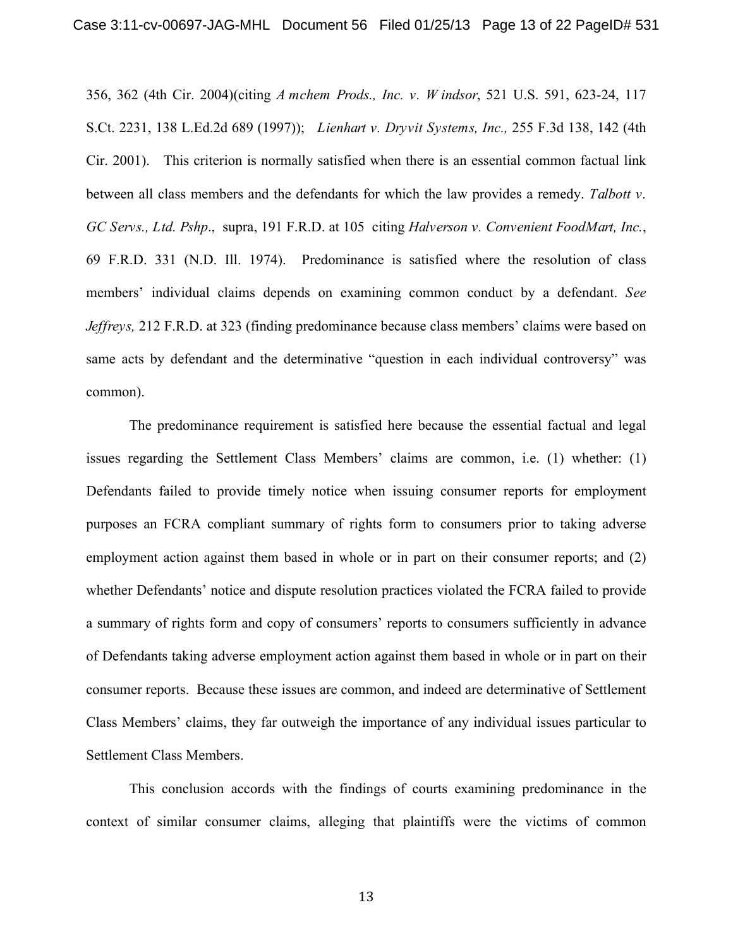356, 362 (4th Cir. 2004)(citing *A mchem Prods., Inc. v. W indsor*, 521 U.S. 591, 623-24, 117 S.Ct. 2231, 138 L.Ed.2d 689 (1997)); *Lienhart v. Dryvit Systems, Inc.,* 255 F.3d 138, 142 (4th Cir. 2001). This criterion is normally satisfied when there is an essential common factual link between all class members and the defendants for which the law provides a remedy. *Talbott v. GC Servs., Ltd. Pshp*., supra, 191 F.R.D. at 105 citing *Halverson v. Convenient FoodMart, Inc.*, 69 F.R.D. 331 (N.D. Ill. 1974). Predominance is satisfied where the resolution of class members' individual claims depends on examining common conduct by a defendant. *See Jeffreys,* 212 F.R.D. at 323 (finding predominance because class members' claims were based on same acts by defendant and the determinative "question in each individual controversy" was common).

The predominance requirement is satisfied here because the essential factual and legal issues regarding the Settlement Class Members' claims are common, i.e. (1) whether: (1) Defendants failed to provide timely notice when issuing consumer reports for employment purposes an FCRA compliant summary of rights form to consumers prior to taking adverse employment action against them based in whole or in part on their consumer reports; and (2) whether Defendants' notice and dispute resolution practices violated the FCRA failed to provide a summary of rights form and copy of consumers' reports to consumers sufficiently in advance of Defendants taking adverse employment action against them based in whole or in part on their consumer reports. Because these issues are common, and indeed are determinative of Settlement Class Members' claims, they far outweigh the importance of any individual issues particular to Settlement Class Members.

This conclusion accords with the findings of courts examining predominance in the context of similar consumer claims, alleging that plaintiffs were the victims of common

13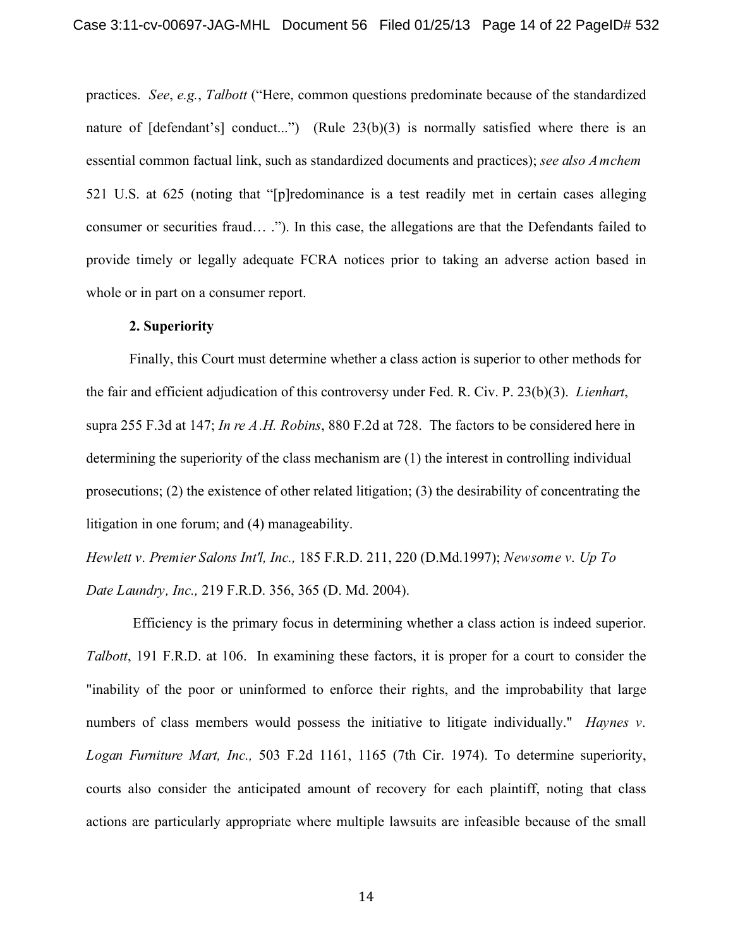practices. *See*, *e.g.*, *Talbott* ("Here, common questions predominate because of the standardized nature of [defendant's] conduct...") (Rule 23(b)(3) is normally satisfied where there is an essential common factual link, such as standardized documents and practices); *see also Amchem* 521 U.S. at 625 (noting that "[p]redominance is a test readily met in certain cases alleging consumer or securities fraud… ."). In this case, the allegations are that the Defendants failed to provide timely or legally adequate FCRA notices prior to taking an adverse action based in whole or in part on a consumer report.

### **2. Superiority**

Finally, this Court must determine whether a class action is superior to other methods for the fair and efficient adjudication of this controversy under Fed. R. Civ. P. 23(b)(3). *Lienhart*, supra 255 F.3d at 147; *In re A.H. Robins*, 880 F.2d at 728. The factors to be considered here in determining the superiority of the class mechanism are (1) the interest in controlling individual prosecutions; (2) the existence of other related litigation; (3) the desirability of concentrating the litigation in one forum; and (4) manageability.

*Hewlett v. Premier Salons Int'l, Inc.,* 185 F.R.D. 211, 220 (D.Md.1997); *Newsome v. Up To Date Laundry, Inc.,* 219 F.R.D. 356, 365 (D. Md. 2004).

Efficiency is the primary focus in determining whether a class action is indeed superior. *Talbott*, 191 F.R.D. at 106. In examining these factors, it is proper for a court to consider the "inability of the poor or uninformed to enforce their rights, and the improbability that large numbers of class members would possess the initiative to litigate individually." *Haynes v. Logan Furniture Mart, Inc.,* 503 F.2d 1161, 1165 (7th Cir. 1974). To determine superiority, courts also consider the anticipated amount of recovery for each plaintiff, noting that class actions are particularly appropriate where multiple lawsuits are infeasible because of the small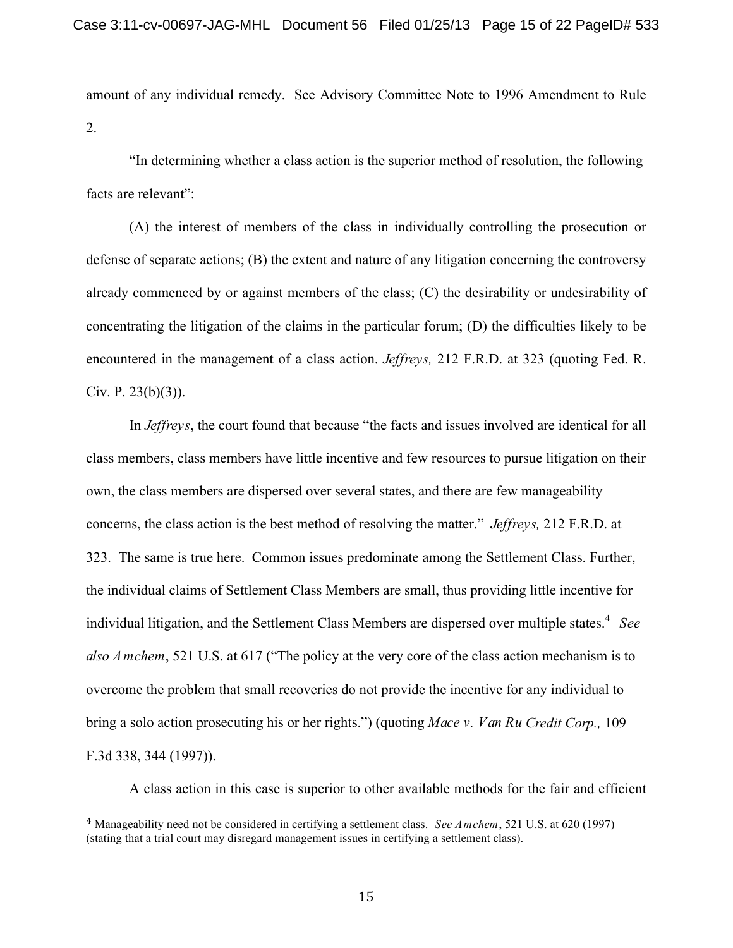amount of any individual remedy. See Advisory Committee Note to 1996 Amendment to Rule 2.

"In determining whether a class action is the superior method of resolution, the following facts are relevant":

(A) the interest of members of the class in individually controlling the prosecution or defense of separate actions; (B) the extent and nature of any litigation concerning the controversy already commenced by or against members of the class; (C) the desirability or undesirability of concentrating the litigation of the claims in the particular forum; (D) the difficulties likely to be encountered in the management of a class action. *Jeffreys,* 212 F.R.D. at 323 (quoting Fed. R. Civ. P.  $23(b)(3)$ ).

In *Jeffreys*, the court found that because "the facts and issues involved are identical for all class members, class members have little incentive and few resources to pursue litigation on their own, the class members are dispersed over several states, and there are few manageability concerns, the class action is the best method of resolving the matter." *Jeffreys,* 212 F.R.D. at 323. The same is true here. Common issues predominate among the Settlement Class. Further, the individual claims of Settlement Class Members are small, thus providing little incentive for individual litigation, and the Settlement Class Members are dispersed over multiple states. <sup>4</sup> *See also Amchem*, 521 U.S. at 617 ("The policy at the very core of the class action mechanism is to overcome the problem that small recoveries do not provide the incentive for any individual to bring a solo action prosecuting his or her rights.") (quoting *Mace v. Van Ru Credit Corp.,* 109 F.3d 338, 344 (1997)).

A class action in this case is superior to other available methods for the fair and efficient

<sup>4</sup> Manageability need not be considered in certifying a settlement class. *See Amchem*, 521 U.S. at 620 (1997) (stating that a trial court may disregard management issues in certifying a settlement class).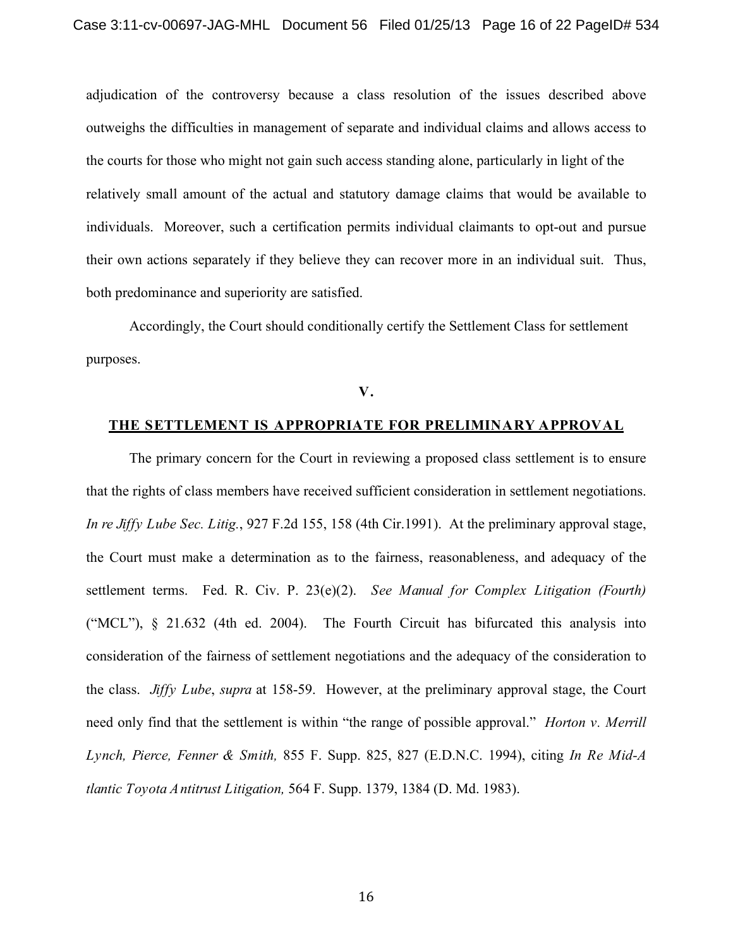adjudication of the controversy because a class resolution of the issues described above outweighs the difficulties in management of separate and individual claims and allows access to the courts for those who might not gain such access standing alone, particularly in light of the relatively small amount of the actual and statutory damage claims that would be available to individuals. Moreover, such a certification permits individual claimants to opt-out and pursue their own actions separately if they believe they can recover more in an individual suit. Thus, both predominance and superiority are satisfied.

Accordingly, the Court should conditionally certify the Settlement Class for settlement purposes.

#### **V.**

# **THE SETTLEMENT IS APPROPRIATE FOR PRELIMINARY APPROVAL**

The primary concern for the Court in reviewing a proposed class settlement is to ensure that the rights of class members have received sufficient consideration in settlement negotiations. *In re Jiffy Lube Sec. Litig.*, 927 F.2d 155, 158 (4th Cir.1991). At the preliminary approval stage, the Court must make a determination as to the fairness, reasonableness, and adequacy of the settlement terms. Fed. R. Civ. P. 23(e)(2). *See Manual for Complex Litigation (Fourth)*  ("MCL"), § 21.632 (4th ed. 2004). The Fourth Circuit has bifurcated this analysis into consideration of the fairness of settlement negotiations and the adequacy of the consideration to the class. *Jiffy Lube*, *supra* at 158-59. However, at the preliminary approval stage, the Court need only find that the settlement is within "the range of possible approval." *Horton v. Merrill Lynch, Pierce, Fenner & Smith,* 855 F. Supp. 825, 827 (E.D.N.C. 1994), citing *In Re Mid-A tlantic Toyota Antitrust Litigation,* 564 F. Supp. 1379, 1384 (D. Md. 1983).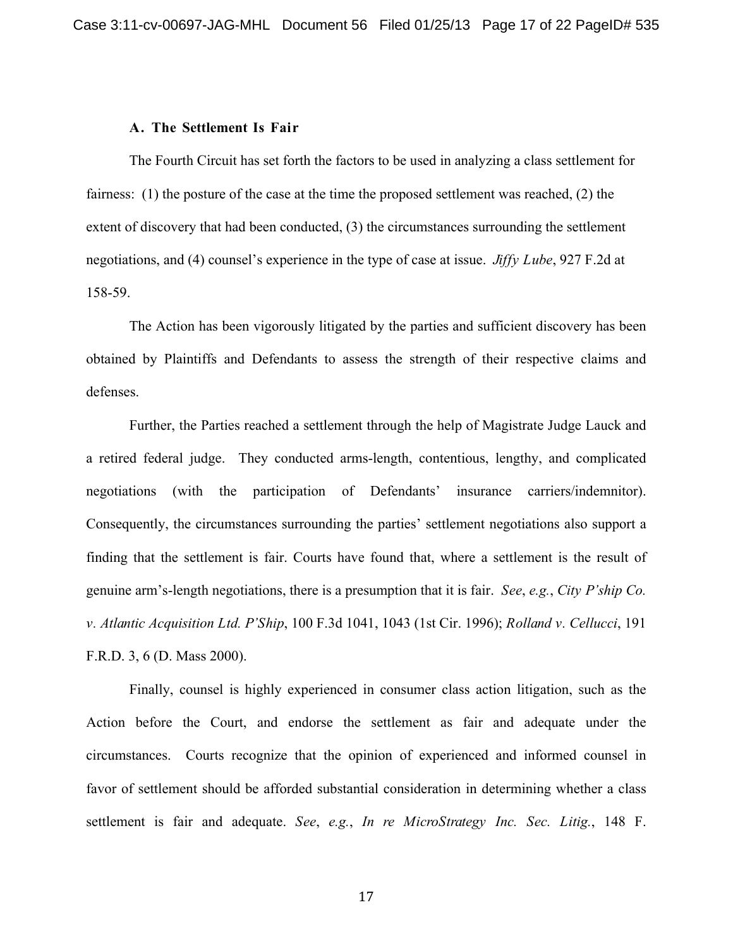#### **A. The Settlement Is Fair**

The Fourth Circuit has set forth the factors to be used in analyzing a class settlement for fairness: (1) the posture of the case at the time the proposed settlement was reached, (2) the extent of discovery that had been conducted, (3) the circumstances surrounding the settlement negotiations, and (4) counsel's experience in the type of case at issue. *Jiffy Lube*, 927 F.2d at 158-59.

The Action has been vigorously litigated by the parties and sufficient discovery has been obtained by Plaintiffs and Defendants to assess the strength of their respective claims and defenses.

Further, the Parties reached a settlement through the help of Magistrate Judge Lauck and a retired federal judge. They conducted arms-length, contentious, lengthy, and complicated negotiations (with the participation of Defendants' insurance carriers/indemnitor). Consequently, the circumstances surrounding the parties' settlement negotiations also support a finding that the settlement is fair. Courts have found that, where a settlement is the result of genuine arm's-length negotiations, there is a presumption that it is fair. *See*, *e.g.*, *City P'ship Co. v. Atlantic Acquisition Ltd. P'Ship*, 100 F.3d 1041, 1043 (1st Cir. 1996); *Rolland v. Cellucci*, 191 F.R.D. 3, 6 (D. Mass 2000).

Finally, counsel is highly experienced in consumer class action litigation, such as the Action before the Court, and endorse the settlement as fair and adequate under the circumstances. Courts recognize that the opinion of experienced and informed counsel in favor of settlement should be afforded substantial consideration in determining whether a class settlement is fair and adequate. *See*, *e.g.*, *In re MicroStrategy Inc. Sec. Litig.*, 148 F.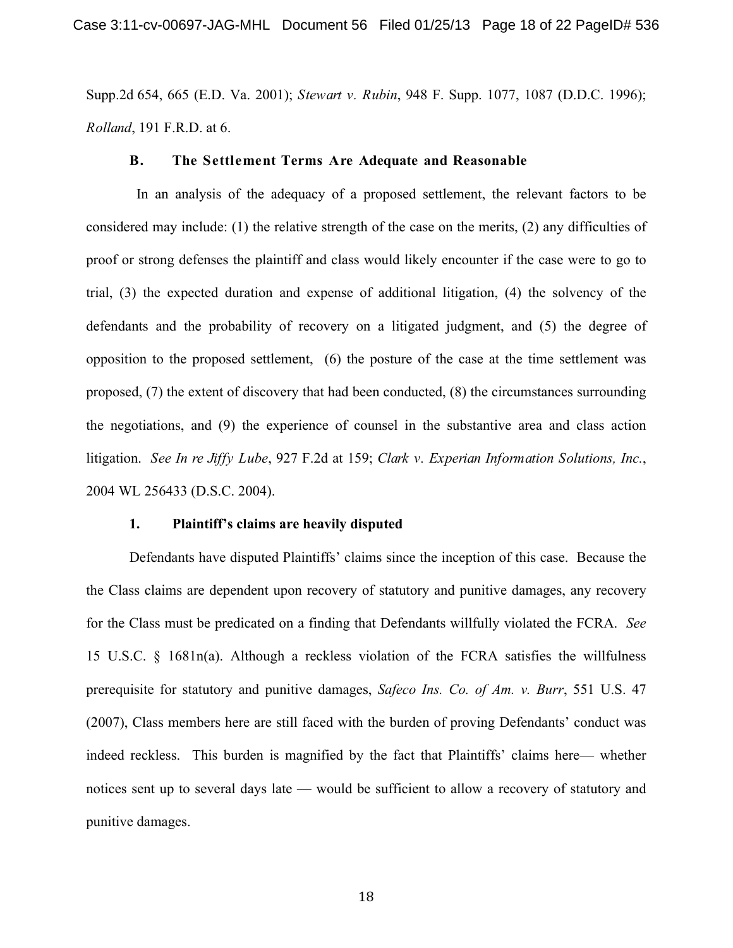Supp.2d 654, 665 (E.D. Va. 2001); *Stewart v. Rubin*, 948 F. Supp. 1077, 1087 (D.D.C. 1996); *Rolland*, 191 F.R.D. at 6.

#### **B. The Settlement Terms Are Adequate and Reasonable**

In an analysis of the adequacy of a proposed settlement, the relevant factors to be considered may include: (1) the relative strength of the case on the merits, (2) any difficulties of proof or strong defenses the plaintiff and class would likely encounter if the case were to go to trial, (3) the expected duration and expense of additional litigation, (4) the solvency of the defendants and the probability of recovery on a litigated judgment, and (5) the degree of opposition to the proposed settlement, (6) the posture of the case at the time settlement was proposed, (7) the extent of discovery that had been conducted, (8) the circumstances surrounding the negotiations, and (9) the experience of counsel in the substantive area and class action litigation. *See In re Jiffy Lube*, 927 F.2d at 159; *Clark v. Experian Information Solutions, Inc.*, 2004 WL 256433 (D.S.C. 2004).

#### **1. Plaintiff's claims are heavily disputed**

Defendants have disputed Plaintiffs' claims since the inception of this case. Because the the Class claims are dependent upon recovery of statutory and punitive damages, any recovery for the Class must be predicated on a finding that Defendants willfully violated the FCRA. *See* 15 U.S.C. § 1681n(a). Although a reckless violation of the FCRA satisfies the willfulness prerequisite for statutory and punitive damages, *Safeco Ins. Co. of Am. v. Burr*, 551 U.S. 47 (2007), Class members here are still faced with the burden of proving Defendants' conduct was indeed reckless. This burden is magnified by the fact that Plaintiffs' claims here— whether notices sent up to several days late — would be sufficient to allow a recovery of statutory and punitive damages.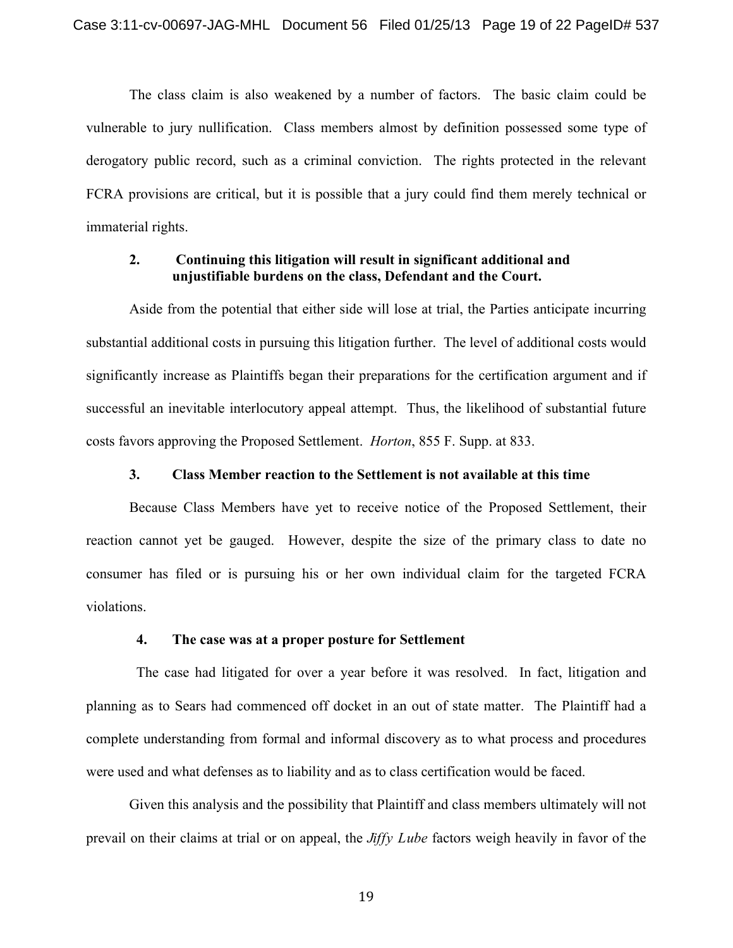The class claim is also weakened by a number of factors. The basic claim could be vulnerable to jury nullification. Class members almost by definition possessed some type of derogatory public record, such as a criminal conviction. The rights protected in the relevant FCRA provisions are critical, but it is possible that a jury could find them merely technical or immaterial rights.

# **2. Continuing this litigation will result in significant additional and unjustifiable burdens on the class, Defendant and the Court.**

Aside from the potential that either side will lose at trial, the Parties anticipate incurring substantial additional costs in pursuing this litigation further. The level of additional costs would significantly increase as Plaintiffs began their preparations for the certification argument and if successful an inevitable interlocutory appeal attempt. Thus, the likelihood of substantial future costs favors approving the Proposed Settlement. *Horton*, 855 F. Supp. at 833.

### **3. Class Member reaction to the Settlement is not available at this time**

Because Class Members have yet to receive notice of the Proposed Settlement, their reaction cannot yet be gauged. However, despite the size of the primary class to date no consumer has filed or is pursuing his or her own individual claim for the targeted FCRA violations.

## **4. The case was at a proper posture for Settlement**

The case had litigated for over a year before it was resolved. In fact, litigation and planning as to Sears had commenced off docket in an out of state matter. The Plaintiff had a complete understanding from formal and informal discovery as to what process and procedures were used and what defenses as to liability and as to class certification would be faced.

Given this analysis and the possibility that Plaintiff and class members ultimately will not prevail on their claims at trial or on appeal, the *Jiffy Lube* factors weigh heavily in favor of the

19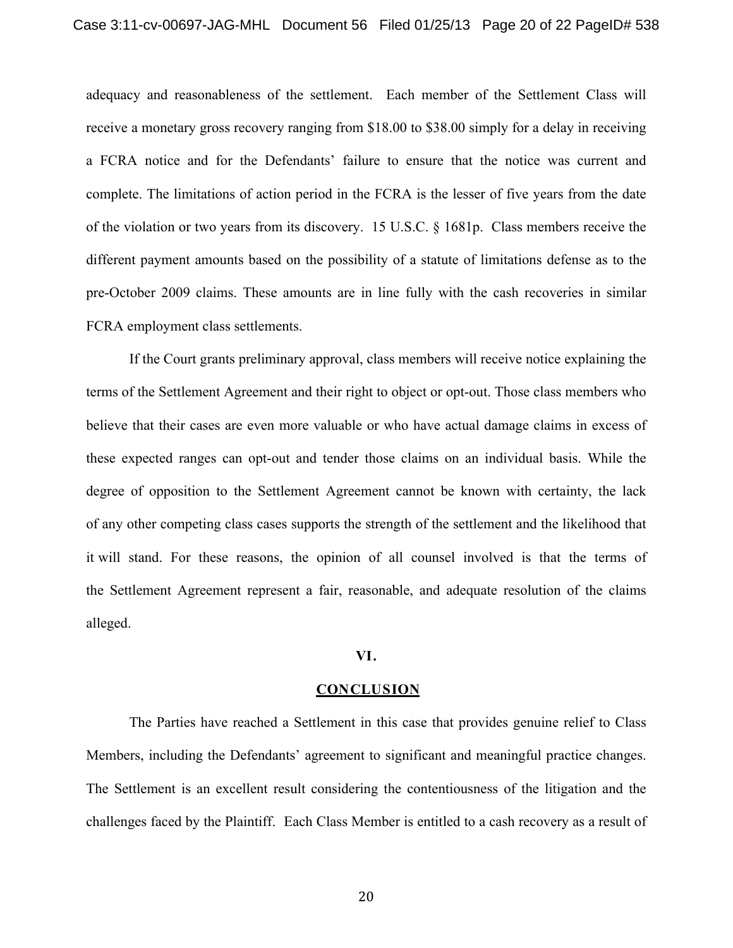adequacy and reasonableness of the settlement. Each member of the Settlement Class will receive a monetary gross recovery ranging from \$18.00 to \$38.00 simply for a delay in receiving a FCRA notice and for the Defendants' failure to ensure that the notice was current and complete. The limitations of action period in the FCRA is the lesser of five years from the date of the violation or two years from its discovery. 15 U.S.C. § 1681p. Class members receive the different payment amounts based on the possibility of a statute of limitations defense as to the pre-October 2009 claims. These amounts are in line fully with the cash recoveries in similar FCRA employment class settlements.

If the Court grants preliminary approval, class members will receive notice explaining the terms of the Settlement Agreement and their right to object or opt-out. Those class members who believe that their cases are even more valuable or who have actual damage claims in excess of these expected ranges can opt-out and tender those claims on an individual basis. While the degree of opposition to the Settlement Agreement cannot be known with certainty, the lack of any other competing class cases supports the strength of the settlement and the likelihood that it will stand. For these reasons, the opinion of all counsel involved is that the terms of the Settlement Agreement represent a fair, reasonable, and adequate resolution of the claims alleged.

#### **VI.**

#### **CONCLUSION**

The Parties have reached a Settlement in this case that provides genuine relief to Class Members, including the Defendants' agreement to significant and meaningful practice changes. The Settlement is an excellent result considering the contentiousness of the litigation and the challenges faced by the Plaintiff. Each Class Member is entitled to a cash recovery as a result of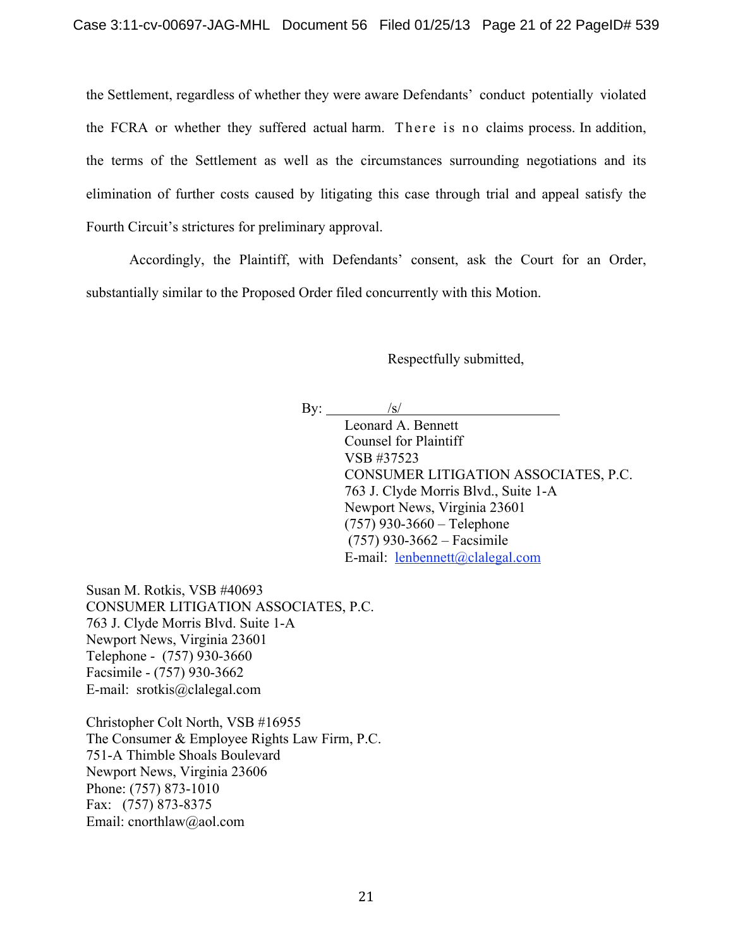the Settlement, regardless of whether they were aware Defendants' conduct potentially violated the FCRA or whether they suffered actual harm. There is no claims process. In addition, the terms of the Settlement as well as the circumstances surrounding negotiations and its elimination of further costs caused by litigating this case through trial and appeal satisfy the Fourth Circuit's strictures for preliminary approval.

Accordingly, the Plaintiff, with Defendants' consent, ask the Court for an Order, substantially similar to the Proposed Order filed concurrently with this Motion.

Respectfully submitted,

By:  $/$ 

Leonard A. Bennett Counsel for Plaintiff VSB #37523 CONSUMER LITIGATION ASSOCIATES, P.C. 763 J. Clyde Morris Blvd., Suite 1-A Newport News, Virginia 23601 (757) 930-3660 – Telephone (757) 930-3662 – Facsimile E-mail: lenbennett@clalegal.com

Susan M. Rotkis, VSB #40693 CONSUMER LITIGATION ASSOCIATES, P.C. 763 J. Clyde Morris Blvd. Suite 1-A Newport News, Virginia 23601 Telephone - (757) 930-3660 Facsimile - (757) 930-3662 E-mail: srotkis@clalegal.com

Christopher Colt North, VSB #16955 The Consumer & Employee Rights Law Firm, P.C. 751-A Thimble Shoals Boulevard Newport News, Virginia 23606 Phone: (757) 873-1010 Fax: (757) 873-8375 Email: cnorthlaw@aol.com